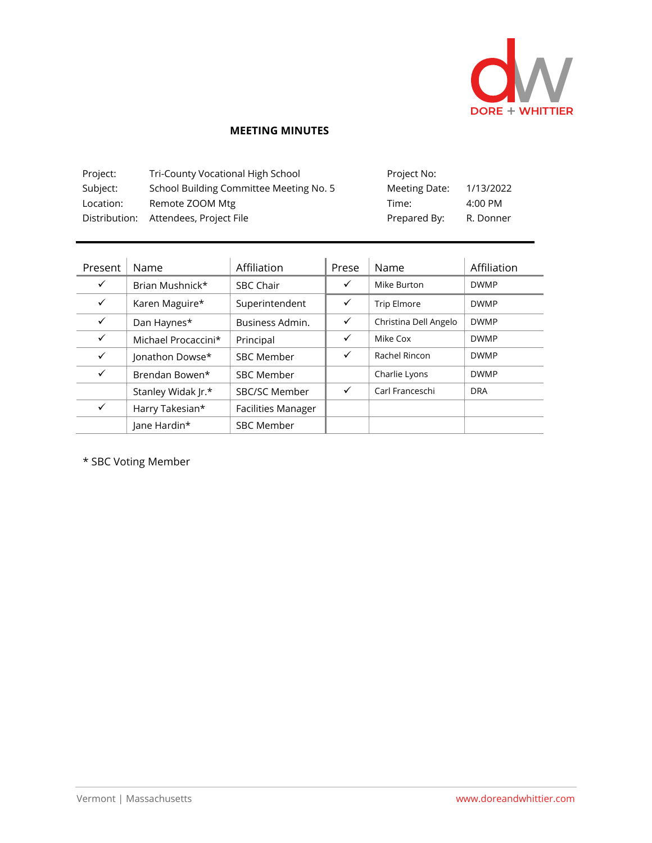

## **MEETING MINUTES**

| Project:  | Tri-County Vocational High School       | Project No:   |           |
|-----------|-----------------------------------------|---------------|-----------|
| Subject:  | School Building Committee Meeting No. 5 | Meeting Date: | 1/13/2022 |
| Location: | Remote ZOOM Mtg                         | Time:         | 4:00 PM   |
|           | Distribution: Attendees, Project File   | Prepared By:  | R. Donner |

| Present      | Name                | Affiliation               | Prese        | Name                  | Affiliation |
|--------------|---------------------|---------------------------|--------------|-----------------------|-------------|
| $\checkmark$ | Brian Mushnick*     | <b>SBC Chair</b>          | $\checkmark$ | Mike Burton           | <b>DWMP</b> |
| $\checkmark$ | Karen Maguire*      | Superintendent            | $\checkmark$ | <b>Trip Elmore</b>    | <b>DWMP</b> |
| $\checkmark$ | Dan Haynes*         | Business Admin.           | $\checkmark$ | Christina Dell Angelo | <b>DWMP</b> |
| $\checkmark$ | Michael Procaccini* | Principal                 | $\checkmark$ | Mike Cox              | <b>DWMP</b> |
| $\checkmark$ | Jonathon Dowse*     | <b>SBC Member</b>         | ✓            | Rachel Rincon         | <b>DWMP</b> |
| $\checkmark$ | Brendan Bowen*      | <b>SBC Member</b>         |              | Charlie Lyons         | <b>DWMP</b> |
|              | Stanley Widak Jr.*  | SBC/SC Member             | $\checkmark$ | Carl Franceschi       | <b>DRA</b>  |
| $\checkmark$ | Harry Takesian*     | <b>Facilities Manager</b> |              |                       |             |
|              | Jane Hardin*        | <b>SBC Member</b>         |              |                       |             |

\* SBC Voting Member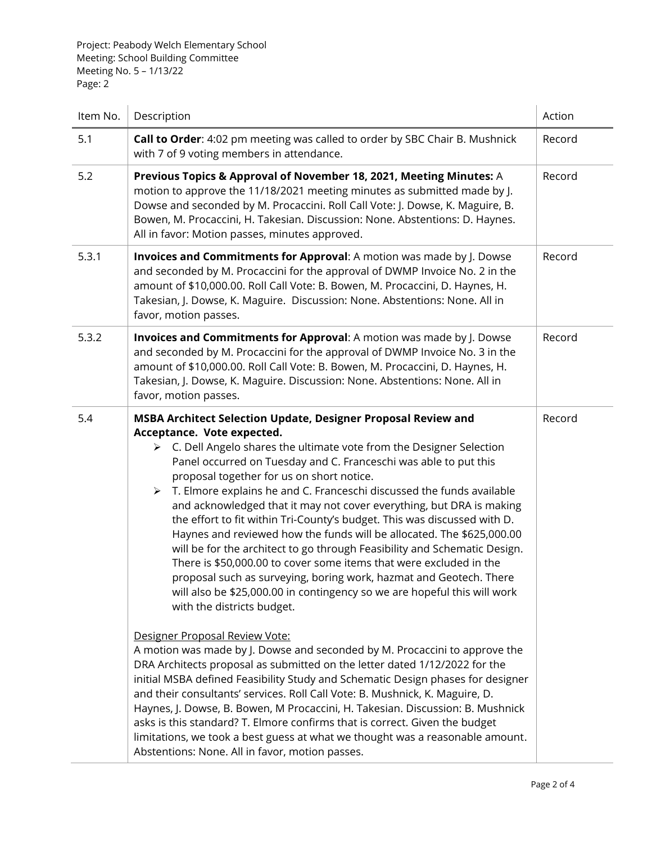Project: Peabody Welch Elementary School Meeting: School Building Committee Meeting No. 5 – 1/13/22 Page: 2

| Item No. | Description                                                                                                                                                                                                                                                                                                                                                                                                                                                                                                                                                                                                                                                                                                                                                                                                                                                                                                                                                                                                                                                                                                                                                                                                                                                                                                                                                                                                                                                                                                                                                                                                              | Action |
|----------|--------------------------------------------------------------------------------------------------------------------------------------------------------------------------------------------------------------------------------------------------------------------------------------------------------------------------------------------------------------------------------------------------------------------------------------------------------------------------------------------------------------------------------------------------------------------------------------------------------------------------------------------------------------------------------------------------------------------------------------------------------------------------------------------------------------------------------------------------------------------------------------------------------------------------------------------------------------------------------------------------------------------------------------------------------------------------------------------------------------------------------------------------------------------------------------------------------------------------------------------------------------------------------------------------------------------------------------------------------------------------------------------------------------------------------------------------------------------------------------------------------------------------------------------------------------------------------------------------------------------------|--------|
| 5.1      | Call to Order: 4:02 pm meeting was called to order by SBC Chair B. Mushnick<br>with 7 of 9 voting members in attendance.                                                                                                                                                                                                                                                                                                                                                                                                                                                                                                                                                                                                                                                                                                                                                                                                                                                                                                                                                                                                                                                                                                                                                                                                                                                                                                                                                                                                                                                                                                 | Record |
| 5.2      | Previous Topics & Approval of November 18, 2021, Meeting Minutes: A<br>motion to approve the 11/18/2021 meeting minutes as submitted made by J.<br>Dowse and seconded by M. Procaccini. Roll Call Vote: J. Dowse, K. Maguire, B.<br>Bowen, M. Procaccini, H. Takesian. Discussion: None. Abstentions: D. Haynes.<br>All in favor: Motion passes, minutes approved.                                                                                                                                                                                                                                                                                                                                                                                                                                                                                                                                                                                                                                                                                                                                                                                                                                                                                                                                                                                                                                                                                                                                                                                                                                                       | Record |
| 5.3.1    | Invoices and Commitments for Approval: A motion was made by J. Dowse<br>and seconded by M. Procaccini for the approval of DWMP Invoice No. 2 in the<br>amount of \$10,000.00. Roll Call Vote: B. Bowen, M. Procaccini, D. Haynes, H.<br>Takesian, J. Dowse, K. Maguire. Discussion: None. Abstentions: None. All in<br>favor, motion passes.                                                                                                                                                                                                                                                                                                                                                                                                                                                                                                                                                                                                                                                                                                                                                                                                                                                                                                                                                                                                                                                                                                                                                                                                                                                                             | Record |
| 5.3.2    | Invoices and Commitments for Approval: A motion was made by J. Dowse<br>and seconded by M. Procaccini for the approval of DWMP Invoice No. 3 in the<br>amount of \$10,000.00. Roll Call Vote: B. Bowen, M. Procaccini, D. Haynes, H.<br>Takesian, J. Dowse, K. Maguire. Discussion: None. Abstentions: None. All in<br>favor, motion passes.                                                                                                                                                                                                                                                                                                                                                                                                                                                                                                                                                                                                                                                                                                                                                                                                                                                                                                                                                                                                                                                                                                                                                                                                                                                                             | Record |
| 5.4      | MSBA Architect Selection Update, Designer Proposal Review and<br>Acceptance. Vote expected.<br>C. Dell Angelo shares the ultimate vote from the Designer Selection<br>≻<br>Panel occurred on Tuesday and C. Franceschi was able to put this<br>proposal together for us on short notice.<br>$\triangleright$ T. Elmore explains he and C. Franceschi discussed the funds available<br>and acknowledged that it may not cover everything, but DRA is making<br>the effort to fit within Tri-County's budget. This was discussed with D.<br>Haynes and reviewed how the funds will be allocated. The \$625,000.00<br>will be for the architect to go through Feasibility and Schematic Design.<br>There is \$50,000.00 to cover some items that were excluded in the<br>proposal such as surveying, boring work, hazmat and Geotech. There<br>will also be \$25,000.00 in contingency so we are hopeful this will work<br>with the districts budget.<br>Designer Proposal Review Vote:<br>A motion was made by J. Dowse and seconded by M. Procaccini to approve the<br>DRA Architects proposal as submitted on the letter dated 1/12/2022 for the<br>initial MSBA defined Feasibility Study and Schematic Design phases for designer<br>and their consultants' services. Roll Call Vote: B. Mushnick, K. Maguire, D.<br>Haynes, J. Dowse, B. Bowen, M Procaccini, H. Takesian. Discussion: B. Mushnick<br>asks is this standard? T. Elmore confirms that is correct. Given the budget<br>limitations, we took a best guess at what we thought was a reasonable amount.<br>Abstentions: None. All in favor, motion passes. | Record |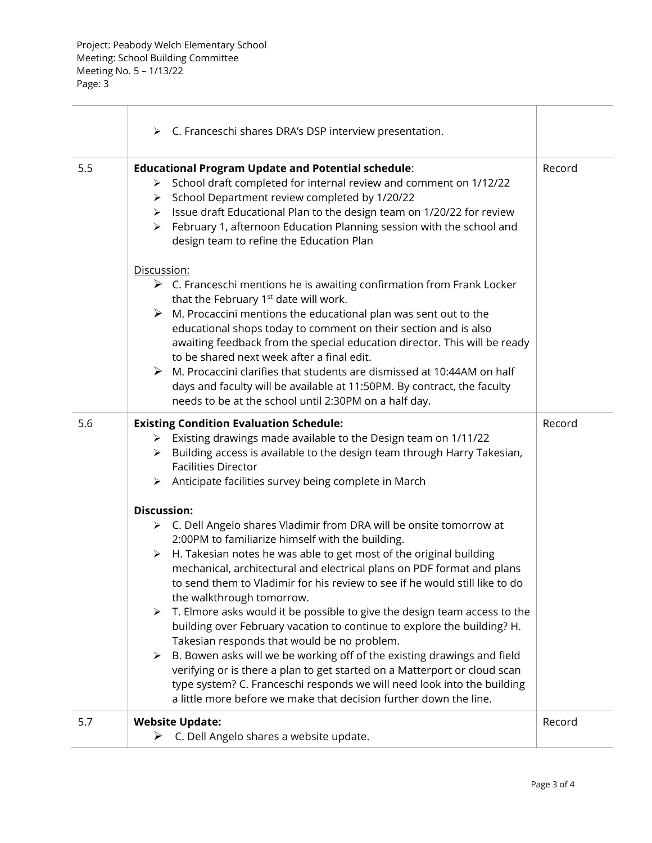|     | $\triangleright$ C. Franceschi shares DRA's DSP interview presentation.                                                                                                                                                                                                                                                                                                                                                                                                                                                                                                                                                                                        |        |
|-----|----------------------------------------------------------------------------------------------------------------------------------------------------------------------------------------------------------------------------------------------------------------------------------------------------------------------------------------------------------------------------------------------------------------------------------------------------------------------------------------------------------------------------------------------------------------------------------------------------------------------------------------------------------------|--------|
| 5.5 | <b>Educational Program Update and Potential schedule:</b><br>> School draft completed for internal review and comment on 1/12/22<br>School Department review completed by 1/20/22<br>➤<br>Issue draft Educational Plan to the design team on 1/20/22 for review<br>➤<br>February 1, afternoon Education Planning session with the school and<br>≻<br>design team to refine the Education Plan                                                                                                                                                                                                                                                                  | Record |
|     | Discussion:<br>$\triangleright$ C. Franceschi mentions he is awaiting confirmation from Frank Locker<br>that the February 1 <sup>st</sup> date will work.<br>$\triangleright$ M. Procaccini mentions the educational plan was sent out to the<br>educational shops today to comment on their section and is also<br>awaiting feedback from the special education director. This will be ready<br>to be shared next week after a final edit.<br>M. Procaccini clarifies that students are dismissed at 10:44AM on half<br>➤<br>days and faculty will be available at 11:50PM. By contract, the faculty<br>needs to be at the school until 2:30PM on a half day. |        |
| 5.6 | <b>Existing Condition Evaluation Schedule:</b><br>> Existing drawings made available to the Design team on 1/11/22<br>Building access is available to the design team through Harry Takesian,<br>➤<br><b>Facilities Director</b><br>Anticipate facilities survey being complete in March<br>➤                                                                                                                                                                                                                                                                                                                                                                  | Record |
|     | <b>Discussion:</b>                                                                                                                                                                                                                                                                                                                                                                                                                                                                                                                                                                                                                                             |        |
|     | > C. Dell Angelo shares Vladimir from DRA will be onsite tomorrow at<br>2:00PM to familiarize himself with the building.                                                                                                                                                                                                                                                                                                                                                                                                                                                                                                                                       |        |
|     | H. Takesian notes he was able to get most of the original building<br>➤<br>mechanical, architectural and electrical plans on PDF format and plans<br>to send them to Vladimir for his review to see if he would still like to do<br>the walkthrough tomorrow.                                                                                                                                                                                                                                                                                                                                                                                                  |        |
|     | T. Elmore asks would it be possible to give the design team access to the<br>building over February vacation to continue to explore the building? H.                                                                                                                                                                                                                                                                                                                                                                                                                                                                                                           |        |
|     | Takesian responds that would be no problem.<br>B. Bowen asks will we be working off of the existing drawings and field<br>➤                                                                                                                                                                                                                                                                                                                                                                                                                                                                                                                                    |        |
|     | verifying or is there a plan to get started on a Matterport or cloud scan<br>type system? C. Franceschi responds we will need look into the building<br>a little more before we make that decision further down the line.                                                                                                                                                                                                                                                                                                                                                                                                                                      |        |
| 5.7 | <b>Website Update:</b><br>$\triangleright$ C. Dell Angelo shares a website update.                                                                                                                                                                                                                                                                                                                                                                                                                                                                                                                                                                             | Record |